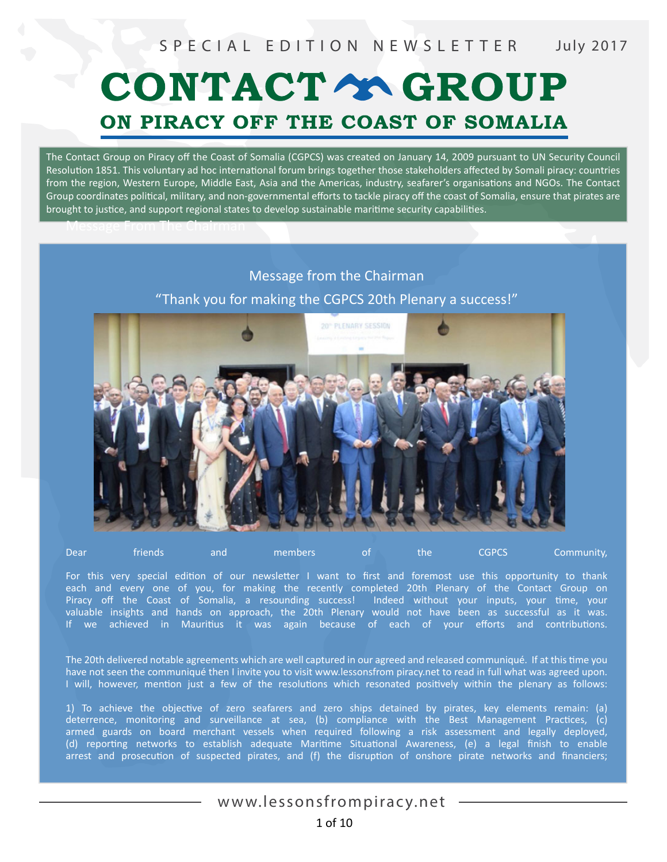# CONTACT Y GROUP ON PIRACY OFF THE COAST OF SOMALIA

The Contact Group on Piracy off the Coast of Somalia (CGPCS) was created on January 14, 2009 pursuant to UN Security Council Resolution 1851. This voluntary ad hoc international forum brings together those stakeholders affected by Somali piracy: countries from the region, Western Europe, Middle East, Asia and the Americas, industry, seafarer's organisations and NGOs. The Contact Group coordinates political, military, and non-governmental efforts to tackle piracy off the coast of Somalia, ensure that pirates are brought to justice, and support regional states to develop sustainable maritime security capabilities.

#### Message from the Chairman

Message From The Chairman

"Thank you for making the CGPCS 20th Plenary a success!"



Dear friends and members of the CGPCS Community,

For this very special edition of our newsletter I want to first and foremost use this opportunity to thank each and every one of you, for making the recently completed 20th Plenary of the Contact Group on Piracy off the Coast of Somalia, a resounding success! Indeed without your inputs, your time, your valuable insights and hands on approach, the 20th Plenary would not have been as successful as it was. If we achieved in Mauritius it was again because of each of your efforts and contributions.

The 20th delivered notable agreements which are well captured in our agreed and released communiqué. If at this time you have not seen the communiqué then I invite you to visit www.lessonsfrom piracy.net to read in full what was agreed upon. I will, however, mention just a few of the resolutions which resonated positively within the plenary as follows:

1) To achieve the objective of zero seafarers and zero ships detained by pirates, key elements remain: (a) deterrence, monitoring and surveillance at sea, (b) compliance with the Best Management Practices, (c) armed guards on board merchant vessels when required following a risk assessment and legally deployed, (d) reporting networks to establish adequate Maritime Situational Awareness, (e) a legal finish to enable arrest and prosecution of suspected pirates, and (f) the disruption of onshore pirate networks and financiers;

#### www.lessonsfrompiracy.net 1 of 10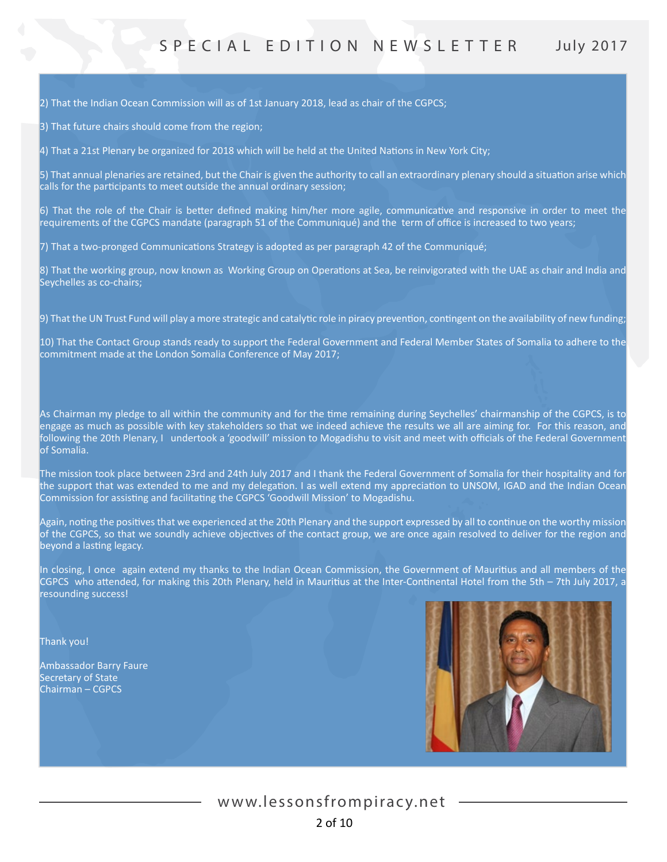2) That the Indian Ocean Commission will as of 1st January 2018, lead as chair of the CGPCS;

3) That future chairs should come from the region;

4) That a 21st Plenary be organized for 2018 which will be held at the United Nations in New York City;

5) That annual plenaries are retained, but the Chair is given the authority to call an extraordinary plenary should a situation arise which calls for the participants to meet outside the annual ordinary session;

6) That the role of the Chair is better defined making him/her more agile, communicative and responsive in order to meet the requirements of the CGPCS mandate (paragraph 51 of the Communiqué) and the term of office is increased to two years;

7) That a two-pronged Communications Strategy is adopted as per paragraph 42 of the Communiqué;

8) That the working group, now known as Working Group on Operations at Sea, be reinvigorated with the UAE as chair and India and Seychelles as co-chairs;

9) That the UN Trust Fund will play a more strategic and catalytic role in piracy prevention, contingent on the availability of new funding;

10) That the Contact Group stands ready to support the Federal Government and Federal Member States of Somalia to adhere to the commitment made at the London Somalia Conference of May 2017;

As Chairman my pledge to all within the community and for the time remaining during Seychelles' chairmanship of the CGPCS, is to engage as much as possible with key stakeholders so that we indeed achieve the results we all are aiming for. For this reason, and following the 20th Plenary, I undertook a 'goodwill' mission to Mogadishu to visit and meet with officials of the Federal Government of Somalia.

The mission took place between 23rd and 24th July 2017 and I thank the Federal Government of Somalia for their hospitality and for the support that was extended to me and my delegation. I as well extend my appreciation to UNSOM, IGAD and the Indian Ocean Commission for assisting and facilitating the CGPCS 'Goodwill Mission' to Mogadishu.

Again, noting the positives that we experienced at the 20th Plenary and the support expressed by all to continue on the worthy mission of the CGPCS, so that we soundly achieve objectives of the contact group, we are once again resolved to deliver for the region and beyond a lasting legacy.

In closing, I once again extend my thanks to the Indian Ocean Commission, the Government of Mauritius and all members of the CGPCS who attended, for making this 20th Plenary, held in Mauritius at the Inter-Continental Hotel from the 5th – 7th July 2017, a resounding success!

Thank you!

Ambassador Barry Faure Secretary of State Chairman – CGPCS

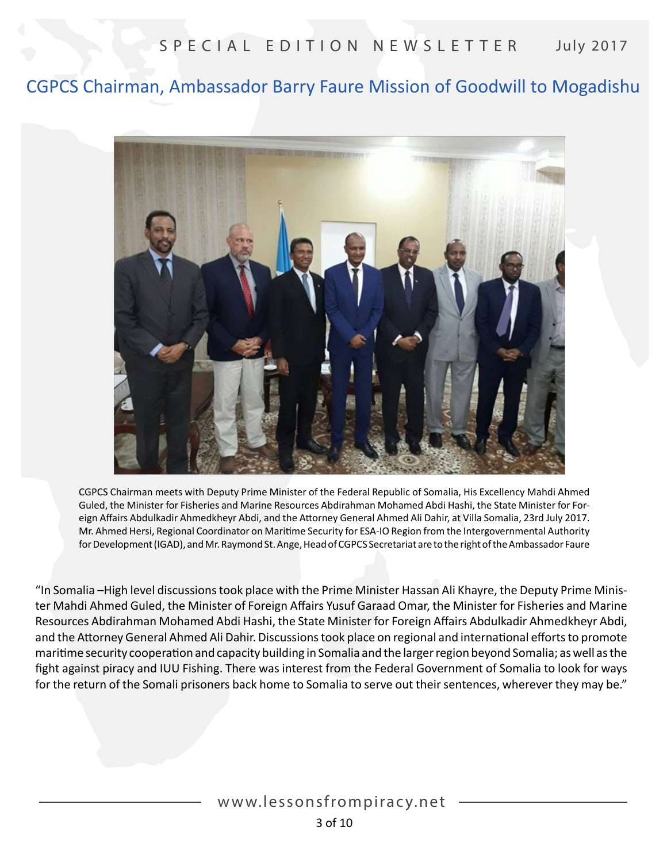# CGPCS Chairman, Ambassador Barry Faure Mission of Goodwill to Mogadishu



CGPCS Chairman meets with Deputy Prime Minister of the Federal Republic of Somalia, His Excellency Mahdi Ahmed Guled, the Minister for Fisheries and Marine Resources Abdirahman Mohamed Abdi Hashi, the State Minister for Foreign Affairs Abdulkadir Ahmedkheyr Abdi, and the Attorney General Ahmed Ali Dahir, at Villa Somalia, 23rd July 2017. Mr. Ahmed Hersi, Regional Coordinator on Maritime Security for ESA-IO Region from the Intergovernmental Authority for Development (IGAD), and Mr. Raymond St. Ange, Head of CGPCS Secretariat are to the right of the Ambassador Faure

"In Somalia –High level discussions took place with the Prime Minister Hassan Ali Khayre, the Deputy Prime Minister Mahdi Ahmed Guled, the Minister of Foreign Affairs Yusuf Garaad Omar, the Minister for Fisheries and Marine Resources Abdirahman Mohamed Abdi Hashi, the State Minister for Foreign Affairs Abdulkadir Ahmedkheyr Abdi, and the Attorney General Ahmed Ali Dahir. Discussions took place on regional and international efforts to promote maritime security cooperation and capacity building in Somalia and the larger region beyond Somalia; as well as the fight against piracy and IUU Fishing. There was interest from the Federal Government of Somalia to look for ways for the return of the Somali prisoners back home to Somalia to serve out their sentences, wherever they may be."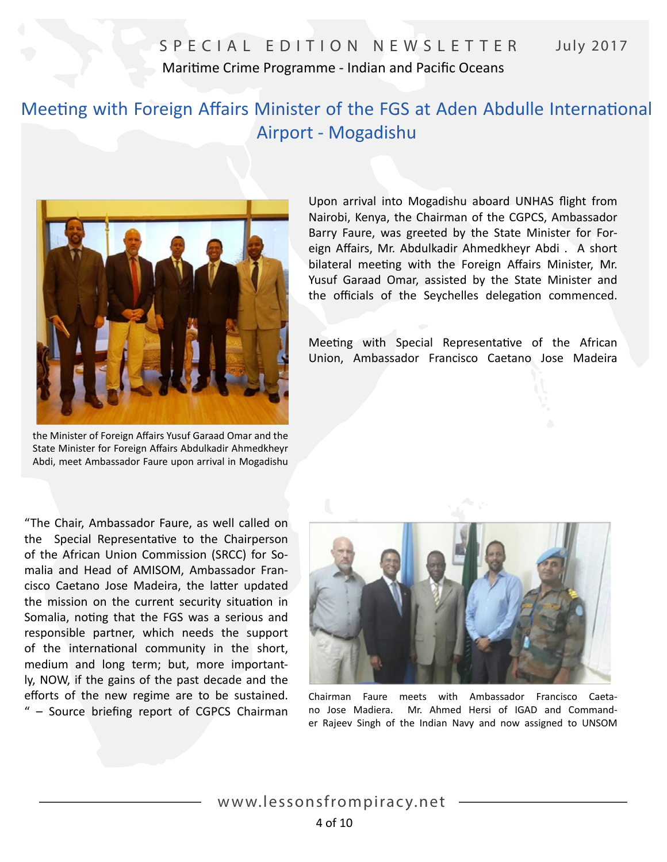# SPECIAL EDITION NEWSLETTER July 2017 Maritime Crime Programme - Indian and Pacific Oceans

# Meeting with Foreign Affairs Minister of the FGS at Aden Abdulle International Airport - Mogadishu



the Minister of Foreign Affairs Yusuf Garaad Omar and the State Minister for Foreign Affairs Abdulkadir Ahmedkheyr Abdi, meet Ambassador Faure upon arrival in Mogadishu

Upon arrival into Mogadishu aboard UNHAS flight from Nairobi, Kenya, the Chairman of the CGPCS, Ambassador Barry Faure, was greeted by the State Minister for Foreign Affairs, Mr. Abdulkadir Ahmedkheyr Abdi . A short bilateral meeting with the Foreign Affairs Minister, Mr. Yusuf Garaad Omar, assisted by the State Minister and the officials of the Seychelles delegation commenced.

Meeting with Special Representative of the African Union, Ambassador Francisco Caetano Jose Madeira

"The Chair, Ambassador Faure, as well called on the Special Representative to the Chairperson of the African Union Commission (SRCC) for Somalia and Head of AMISOM, Ambassador Francisco Caetano Jose Madeira, the latter updated the mission on the current security situation in Somalia, noting that the FGS was a serious and responsible partner, which needs the support of the international community in the short, medium and long term; but, more importantly, NOW, if the gains of the past decade and the efforts of the new regime are to be sustained. " – Source briefing report of CGPCS Chairman



Chairman Faure meets with Ambassador Francisco Caetano Jose Madiera. Mr. Ahmed Hersi of IGAD and Commander Rajeev Singh of the Indian Navy and now assigned to UNSOM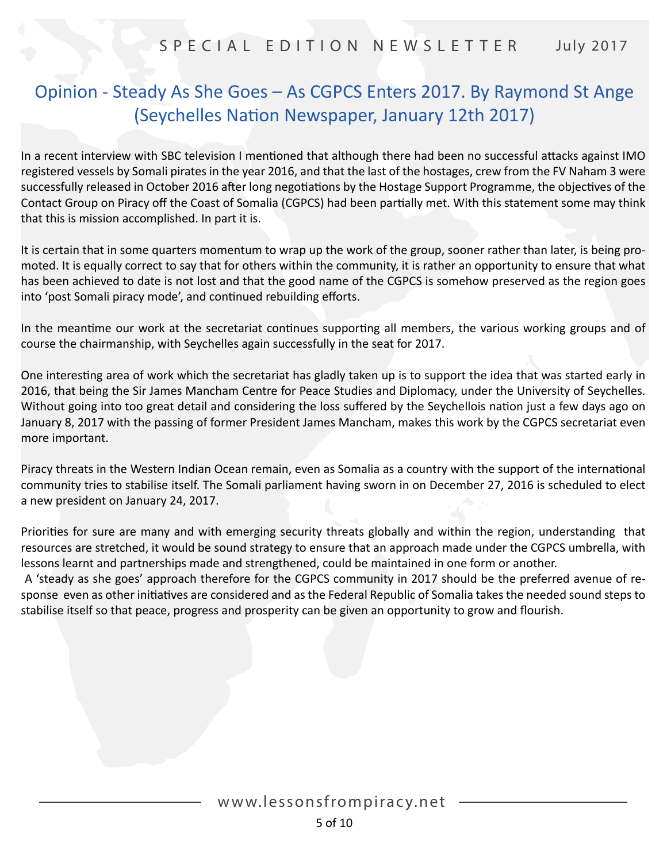# Opinion - Steady As She Goes – As CGPCS Enters 2017. By Raymond St Ange (Seychelles Nation Newspaper, January 12th 2017)

In a recent interview with SBC television I mentioned that although there had been no successful attacks against IMO registered vessels by Somali pirates in the year 2016, and that the last of the hostages, crew from the FV Naham 3 were successfully released in October 2016 after long negotiations by the Hostage Support Programme, the objectives of the Contact Group on Piracy off the Coast of Somalia (CGPCS) had been partially met. With this statement some may think that this is mission accomplished. In part it is.

It is certain that in some quarters momentum to wrap up the work of the group, sooner rather than later, is being promoted. It is equally correct to say that for others within the community, it is rather an opportunity to ensure that what has been achieved to date is not lost and that the good name of the CGPCS is somehow preserved as the region goes into 'post Somali piracy mode', and continued rebuilding efforts.

In the meantime our work at the secretariat continues supporting all members, the various working groups and of course the chairmanship, with Seychelles again successfully in the seat for 2017.

One interesting area of work which the secretariat has gladly taken up is to support the idea that was started early in 2016, that being the Sir James Mancham Centre for Peace Studies and Diplomacy, under the University of Seychelles. Without going into too great detail and considering the loss suffered by the Seychellois nation just a few days ago on January 8, 2017 with the passing of former President James Mancham, makes this work by the CGPCS secretariat even more important.

Piracy threats in the Western Indian Ocean remain, even as Somalia as a country with the support of the international community tries to stabilise itself. The Somali parliament having sworn in on December 27, 2016 is scheduled to elect a new president on January 24, 2017.

Priorities for sure are many and with emerging security threats globally and within the region, understanding that resources are stretched, it would be sound strategy to ensure that an approach made under the CGPCS umbrella, with lessons learnt and partnerships made and strengthened, could be maintained in one form or another.

 A 'steady as she goes' approach therefore for the CGPCS community in 2017 should be the preferred avenue of response even as other initiatives are considered and as the Federal Republic of Somalia takes the needed sound steps to stabilise itself so that peace, progress and prosperity can be given an opportunity to grow and flourish.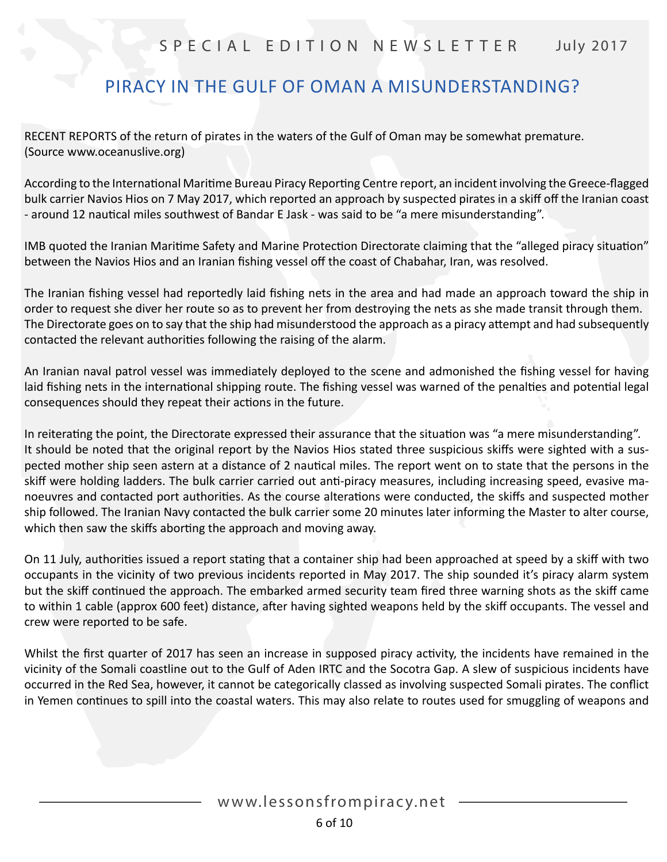# PIRACY IN THE GULF OF OMAN A MISUNDERSTANDING?

RECENT REPORTS of the return of pirates in the waters of the Gulf of Oman may be somewhat premature. (Source www.oceanuslive.org)

According to the International Maritime Bureau Piracy Reporting Centre report, an incident involving the Greece-flagged bulk carrier Navios Hios on 7 May 2017, which reported an approach by suspected pirates in a skiff off the Iranian coast - around 12 nautical miles southwest of Bandar E Jask - was said to be "a mere misunderstanding".

IMB quoted the Iranian Maritime Safety and Marine Protection Directorate claiming that the "alleged piracy situation" between the Navios Hios and an Iranian fishing vessel off the coast of Chabahar, Iran, was resolved.

The Iranian fishing vessel had reportedly laid fishing nets in the area and had made an approach toward the ship in order to request she diver her route so as to prevent her from destroying the nets as she made transit through them. The Directorate goes on to say that the ship had misunderstood the approach as a piracy attempt and had subsequently contacted the relevant authorities following the raising of the alarm.

An Iranian naval patrol vessel was immediately deployed to the scene and admonished the fishing vessel for having laid fishing nets in the international shipping route. The fishing vessel was warned of the penalties and potential legal consequences should they repeat their actions in the future.

In reiterating the point, the Directorate expressed their assurance that the situation was "a mere misunderstanding". It should be noted that the original report by the Navios Hios stated three suspicious skiffs were sighted with a suspected mother ship seen astern at a distance of 2 nautical miles. The report went on to state that the persons in the skiff were holding ladders. The bulk carrier carried out anti-piracy measures, including increasing speed, evasive manoeuvres and contacted port authorities. As the course alterations were conducted, the skiffs and suspected mother ship followed. The Iranian Navy contacted the bulk carrier some 20 minutes later informing the Master to alter course, which then saw the skiffs aborting the approach and moving away.

On 11 July, authorities issued a report stating that a container ship had been approached at speed by a skiff with two occupants in the vicinity of two previous incidents reported in May 2017. The ship sounded it's piracy alarm system but the skiff continued the approach. The embarked armed security team fired three warning shots as the skiff came to within 1 cable (approx 600 feet) distance, after having sighted weapons held by the skiff occupants. The vessel and crew were reported to be safe.

Whilst the first quarter of 2017 has seen an increase in supposed piracy activity, the incidents have remained in the vicinity of the Somali coastline out to the Gulf of Aden IRTC and the Socotra Gap. A slew of suspicious incidents have occurred in the Red Sea, however, it cannot be categorically classed as involving suspected Somali pirates. The conflict in Yemen continues to spill into the coastal waters. This may also relate to routes used for smuggling of weapons and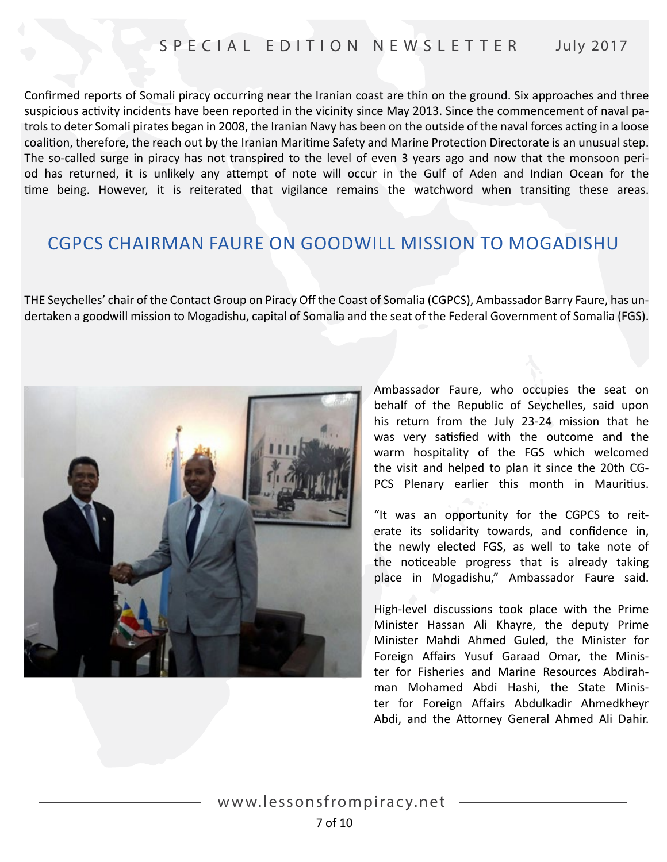Confirmed reports of Somali piracy occurring near the Iranian coast are thin on the ground. Six approaches and three suspicious activity incidents have been reported in the vicinity since May 2013. Since the commencement of naval patrols to deter Somali pirates began in 2008, the Iranian Navy has been on the outside of the naval forces acting in a loose coalition, therefore, the reach out by the Iranian Maritime Safety and Marine Protection Directorate is an unusual step. The so-called surge in piracy has not transpired to the level of even 3 years ago and now that the monsoon period has returned, it is unlikely any attempt of note will occur in the Gulf of Aden and Indian Ocean for the time being. However, it is reiterated that vigilance remains the watchword when transiting these areas.

# CGPCS CHAIRMAN FAURE ON GOODWILL MISSION TO MOGADISHU

THE Seychelles' chair of the Contact Group on Piracy Off the Coast of Somalia (CGPCS), Ambassador Barry Faure, has undertaken a goodwill mission to Mogadishu, capital of Somalia and the seat of the Federal Government of Somalia (FGS).



Ambassador Faure, who occupies the seat on behalf of the Republic of Seychelles, said upon his return from the July 23-24 mission that he was very satisfied with the outcome and the warm hospitality of the FGS which welcomed the visit and helped to plan it since the 20th CG-PCS Plenary earlier this month in Mauritius.

"It was an opportunity for the CGPCS to reiterate its solidarity towards, and confidence in, the newly elected FGS, as well to take note of the noticeable progress that is already taking place in Mogadishu," Ambassador Faure said.

High-level discussions took place with the Prime Minister Hassan Ali Khayre, the deputy Prime Minister Mahdi Ahmed Guled, the Minister for Foreign Affairs Yusuf Garaad Omar, the Minister for Fisheries and Marine Resources Abdirahman Mohamed Abdi Hashi, the State Minister for Foreign Affairs Abdulkadir Ahmedkheyr Abdi, and the Attorney General Ahmed Ali Dahir.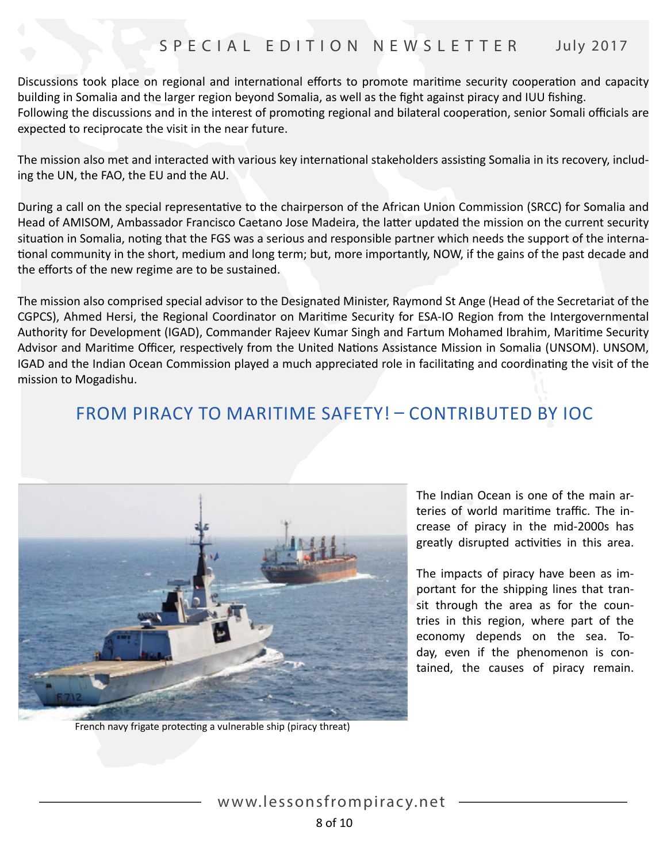Discussions took place on regional and international efforts to promote maritime security cooperation and capacity building in Somalia and the larger region beyond Somalia, as well as the fight against piracy and IUU fishing. Following the discussions and in the interest of promoting regional and bilateral cooperation, senior Somali officials are expected to reciprocate the visit in the near future.

The mission also met and interacted with various key international stakeholders assisting Somalia in its recovery, including the UN, the FAO, the EU and the AU.

During a call on the special representative to the chairperson of the African Union Commission (SRCC) for Somalia and Head of AMISOM, Ambassador Francisco Caetano Jose Madeira, the latter updated the mission on the current security situation in Somalia, noting that the FGS was a serious and responsible partner which needs the support of the international community in the short, medium and long term; but, more importantly, NOW, if the gains of the past decade and the efforts of the new regime are to be sustained.

The mission also comprised special advisor to the Designated Minister, Raymond St Ange (Head of the Secretariat of the CGPCS), Ahmed Hersi, the Regional Coordinator on Maritime Security for ESA-IO Region from the Intergovernmental Authority for Development (IGAD), Commander Rajeev Kumar Singh and Fartum Mohamed Ibrahim, Maritime Security Advisor and Maritime Officer, respectively from the United Nations Assistance Mission in Somalia (UNSOM). UNSOM, IGAD and the Indian Ocean Commission played a much appreciated role in facilitating and coordinating the visit of the mission to Mogadishu.

# FROM PIRACY TO MARITIME SAFETY! – CONTRIBUTED BY IOC



French navy frigate protecting a vulnerable ship (piracy threat)

The Indian Ocean is one of the main arteries of world maritime traffic. The increase of piracy in the mid-2000s has greatly disrupted activities in this area.

The impacts of piracy have been as important for the shipping lines that transit through the area as for the countries in this region, where part of the economy depends on the sea. Today, even if the phenomenon is contained, the causes of piracy remain.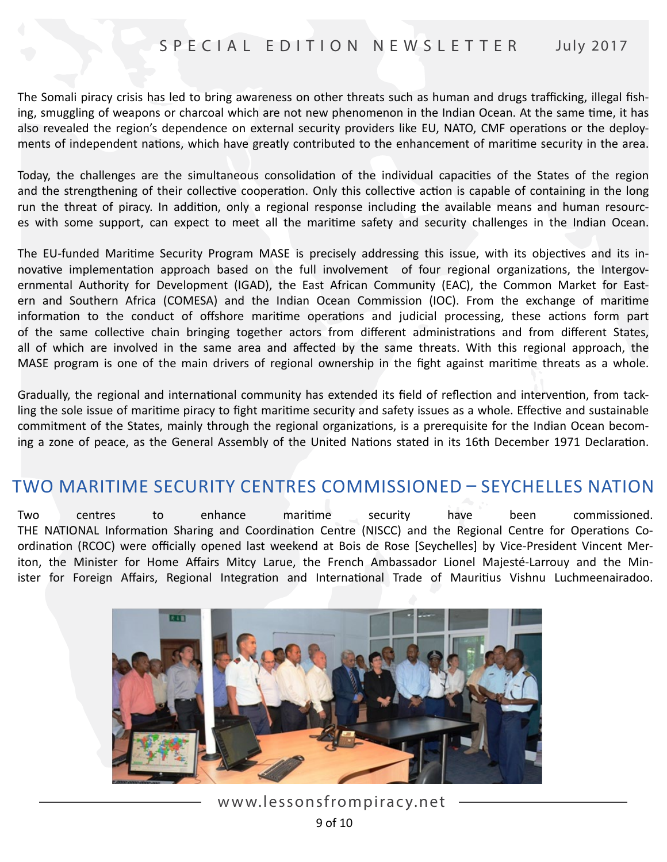The Somali piracy crisis has led to bring awareness on other threats such as human and drugs trafficking, illegal fishing, smuggling of weapons or charcoal which are not new phenomenon in the Indian Ocean. At the same time, it has also revealed the region's dependence on external security providers like EU, NATO, CMF operations or the deployments of independent nations, which have greatly contributed to the enhancement of maritime security in the area.

Today, the challenges are the simultaneous consolidation of the individual capacities of the States of the region and the strengthening of their collective cooperation. Only this collective action is capable of containing in the long run the threat of piracy. In addition, only a regional response including the available means and human resources with some support, can expect to meet all the maritime safety and security challenges in the Indian Ocean.

The EU-funded Maritime Security Program MASE is precisely addressing this issue, with its objectives and its innovative implementation approach based on the full involvement of four regional organizations, the Intergovernmental Authority for Development (IGAD), the East African Community (EAC), the Common Market for Eastern and Southern Africa (COMESA) and the Indian Ocean Commission (IOC). From the exchange of maritime information to the conduct of offshore maritime operations and judicial processing, these actions form part of the same collective chain bringing together actors from different administrations and from different States, all of which are involved in the same area and affected by the same threats. With this regional approach, the MASE program is one of the main drivers of regional ownership in the fight against maritime threats as a whole.

Gradually, the regional and international community has extended its field of reflection and intervention, from tackling the sole issue of maritime piracy to fight maritime security and safety issues as a whole. Effective and sustainable commitment of the States, mainly through the regional organizations, is a prerequisite for the Indian Ocean becoming a zone of peace, as the General Assembly of the United Nations stated in its 16th December 1971 Declaration.

#### TWO MARITIME SECURITY CENTRES COMMISSIONED – SEYCHELLES NATION

Two centres to enhance maritime security have been commissioned. THE NATIONAL Information Sharing and Coordination Centre (NISCC) and the Regional Centre for Operations Coordination (RCOC) were officially opened last weekend at Bois de Rose [Seychelles] by Vice-President Vincent Meriton, the Minister for Home Affairs Mitcy Larue, the French Ambassador Lionel Majesté-Larrouy and the Minister for Foreign Affairs, Regional Integration and International Trade of Mauritius Vishnu Luchmeenairadoo.



www.lessonsfrompiracy.net 9 of 10